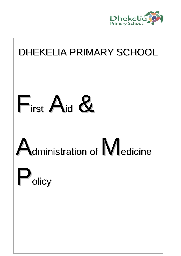

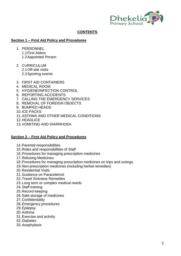

# **CONTENTS**

#### **Section 1 – First Aid Policy and Procedures**

- 1. PERSONNEL 1.1First Aiders 1.2Appointed Person
- 2. CURRICULUM 2.1Off-site visits 2.2Sporting events
- 3. FIRST AID CONTAINERS
- 4. MEDICAL ROOM
- 5. HYGIENE/INFECTION CONTROL
- 6. REPORTING ACCIDENTS
- 7. CALLING THE EMERGENCY SERVICES
- 8. REMOVAL OF FOREIGN OBJECTS
- 9. BUMPED HEADS
- 10.ICE PACKS
- 11.ASTHMA AND OTHER MEDICAL CONDITIONS
- 12.HEADLICE
- 13.VOMITING AND DIARRHOEA

#### **Section 2 – First Aid Policy and Procedures**

- 14.Parental responsibilities
- 15.Roles and responsibilities of Staff
- 16.Procedures for managing prescription medicines
- 17.Refusing Medicines
- 18.Procedures for managing prescription medicines on trips and outings
- 19.Non-prescription medicines (including herbal remedies)
- 20.Residential Visits
- 21.Guidance on Paracetemol
- 22.Travel Sickness Remedies
- 23.Long term or complex medical needs
- 24.Staff training
- 25.Record keeping
- 26.Safe storage of medicines
- 27.Confidentiality
- 28.Emergency procedures
- 29.Epilepsy
- 30.Asthma
- 31.Exercise and activity
- 32.Diabetes
- 33.Anaphylaxis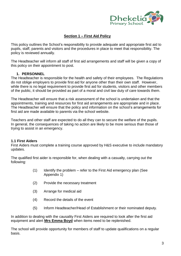

# **Section 1 – First Aid Policy**

This policy outlines the School's responsibility to provide adequate and appropriate first aid to pupils, staff, parents and visitors and the procedures in place to meet that responsibility. The policy is reviewed annually.

The Headteacher will inform all staff of first aid arrangements and staff will be given a copy of this policy on their appointment to post.

### **1. PERSONNEL**

The Headteacher is responsible for the health and safety of their employees. The Regulations do not oblige employers to provide first aid for anyone other than their own staff. However, while there is no legal requirement to provide first aid for students, visitors and other members of the public, it should be provided as part of a moral and civil law duty of care towards them.

The Headteacher will ensure that a risk assessment of the school is undertaken and that the appointments, training and resources for first aid arrangements are appropriate and in place. The Headteacher will ensure that the policy and information on the school's arrangements for first aid are made available to parents via the school website.

Teachers and other staff are expected to do all they can to secure the welfare of the pupils. In general, the consequences of taking no action are likely to be more serious than those of trying to assist in an emergency.

#### **1.1 First Aiders**

First Aiders must complete a training course approved by H&S executive to include mandatory updates.

The qualified first aider is responsible for, when dealing with a casualty, carrying out the following:

- (1) Identify the problem refer to the First Aid emergency plan (See Appendix 1)
- (2) Provide the necessary treatment
- (3) Arrange for medical aid
- (4) Record the details of the event
- (5) Inform Headteacher/Head of Establishment or their nominated deputy.

In addition to dealing with the causality First Aiders are required to look after the first aid equipment and alert **Mrs Emma Boyd** when items need to be replenished.

The school will provide opportunity for members of staff to update qualifications on a regular basis.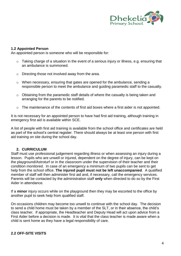

#### **1.2 Appointed Person**

An appointed person is someone who will be responsible for:

- $\circ$  Taking charge of a situation in the event of a serious injury or illness, e.g. ensuring that an ambulance is summoned.
- o Directing those not involved away from the area.
- o When necessary, ensuring that gates are opened for the ambulance, sending a responsible person to meet the ambulance and guiding paramedic staff to the casualty.
- o Obtaining from the paramedic staff details of where the casualty is being taken and arranging for the parents to be notified.
- o The maintenance of the contents of first aid boxes where a first aider is not appointed.

It is not necessary for an appointed person to have had first aid training, although training in emergency first aid is available within SCE.

A list of people with first aid training is available from the school office and certificates are held as part of the school's central register. There should always be at least one person with first aid training on site during the school day.

#### **2. CURRICULUM**

Staff must use professional judgement regarding illness or when assessing an injury during a lesson. Pupils who are unwell or injured, dependent on the degree of injury, can be kept on the playground/Astroturf or in the classroom under the supervision of their teacher and their condition monitored. In case of an emergency a minimum of two pupils can be sent to get help from the school office. **The injured pupil must not be left unaccompanied**. A qualified member of staff will then administer first aid and, if necessary, call the emergency services. Parents will be contacted by the administration staff **only** when directed to do so by the First Aider in attendance.

If a **minor** injury occurs while on the playground then they may be escorted to the office by another pupil to seek help from qualified staff.

On occasions children may become too unwell to continue with the school day. The decision to send a child home must be taken by a member of the SLT, or in their absence, the child's class teacher. If appropriate, the Headteacher and Deputy Head will act upon advice from a First Aider before a decision is made. It is vital that the class teacher is made aware when a child is sent home as they have a legal responsibility of care.

#### **2.2 OFF-SITE VISITS**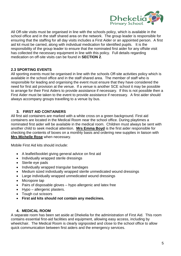

All Off-site visits must be organised in line with the schools policy, which is available in the school office and in the staff shared area on the network. The group leader is responsible for ensuring that the staffing for all day visits includes a First Aider or an appointed person. A first aid kit must be carried, along with individual medication for identified pupils. It is the responsibility of the group leader to ensure that the nominated first aider for any offsite visit has collected the necessary equipment in line with this policy. Full details regarding medication on off-site visits can be found in **SECTION 2**.

# **2.3 SPORTING EVENTS**

All sporting events must be organised in line with the schools Off-site activities policy which is available in the school office and in the staff shared area. The member of staff who is responsible for leading and organising the event must ensure that they have considered the need for first aid provision at the venue. If a venue is another SCE school it may be possible to arrange for their First Aiders to provide assistance if necessary. If this is not possible then a First Aider must be taken to the event to provide assistance if necessary. A first aider should always accompany groups travelling to a venue by bus.

### **3. FIRST AID CONTAINERS**

All first aid containers are marked with a white cross on a green background. First aid containers are located in the Medical Room near the school office. During playtimes a nominated first aider will be available in the medical room. Children must always be sent with another child to seek medical attention. **Mrs Emma Boyd** is the first aider responsible for checking the contents of boxes on a monthly basis and ordering new supplies in liaison with **Mrs Michelle Rose** when necessary.

Mobile First Aid kits should include:

- A leaflet/booklet giving general advice on first aid
- Individually wrapped sterile dressings
- Sterile eve pads
- Individually wrapped triangular bandages
- Medium sized individually wrapped sterile unmedicated wound dressings
- Large individually wrapped unmedicated wound dressings
- Micropore tap
- Pairs of disposable gloves hypo allergenic and latex free
- Hypo allergenic plasters.
- Tough cut scissors
- **First aid kits should not contain any medicines.**

#### **4. MEDICAL ROOM**

A separate room has been set aside at Dhekelia for the administration of First Aid. This room contains essential first-aid facilities and equipment, allowing easy access, including by wheelchair. The Medical Room is clearly signposted and close to the school office to allow quick communication between first aiders and the emergency services.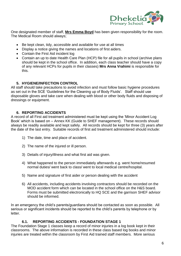

One designated member of staff, **Mrs Emma Boyd** has been given responsibility for the room. The Medical Room should always;

- Be kept clean, tidy, accessible and available for use at all times
- Display a notice giving the names and locations of first aiders.
- Contain the First Aid incident log
- Contain an up to date Health Care Plan (HCP) file for all pupils in school (archive plans should be kept in the school office. In addition, each class teacher should have a copy of any relevant HCPs for pupils in their classes) **Mrs Anna Vrahimi** is responsible for this.

### **5. HYGIENE/INFECTION CONTROL**

All staff should take precautions to avoid infection and must follow basic hygiene procedures as set out in the SCE 'Guidelines for the Cleaning up of Body Fluids'. Staff should use disposable gloves and take care when dealing with blood or other body fluids and disposing of dressings or equipment.

### **6. REPORTING ACCIDENTS**

A record of all First aid treatment administered must be kept using the 'Minor Accident Log Book' which is based on – Annex KK (Guide to SHEF management). These records should always be readily available and kept safely. All records should be kept for three (3) vears after the date of the last entry. Suitable records of first aid treatment administered should include:

- 1) The date, time and place of accident.
- 2) The name of the injured or ill person.
- 3) Details of injury/illness and what first aid was given.
- 4) What happened to the person immediately afterwards e.g. went home/resumed normal duties/ went back to class/ went to local medical centre/hospital.
- 5) Name and signature of first aider or person dealing with the accident
- 6) All accidents, including accidents involving contractors should be recorded on the MOD accident form which can be located in the school office on the H&S board. Forms must be submitted electronically to HQ SCE and the garrison SHEF advisor should be informed.

In an emergency the child's parents/guardians should be contacted as soon as possible. All serious or significant incidents should be reported to the child's parents by telephone or by letter.

# **6.1. REPORTING ACCIDENTS - FOUNDATION STAGE 1**

The Foundation Stage 1 classes keep a record of minor injuries in a log book kept in their classrooms. The above information is recorded in these class based log books and minor injuries are treated within the classroom by First Aid trained staff members. More serious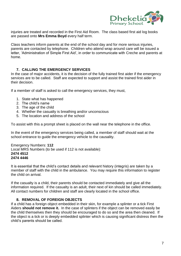

injuries are treated and recorded in the First Aid Room. The class based first aid log books are passed onto **Mrs Emma Boyd** every half term.

Class teachers inform parents at the end of the school day and for more serious injuries, parents are contacted by telephone. Children who attend wrap around care will be issued a letter, 'Administration of Simple First Aid', in order to communicate with Creche and parents at home.

### **7. CALLING THE EMERGENCY SERVICES**

In the case of major accidents, it is the decision of the fully trained first aider if the emergency services are to be called. Staff are expected to support and assist the trained first aider in their decision.

If a member of staff is asked to call the emergency services, they must,

- 1. State what has happened
- 2. The child's name
- 3. The age of the child
- 4. Whether the casualty is breathing and/or unconscious
- 5. The location and address of the school

To assist with this a prompt sheet is placed on the wall near the telephone in the office.

In the event of the emergency services being called, a member of staff should wait at the school entrance to guide the emergency vehicle to the causality.

Emergency Numbers: **112** Local MRS Numbers (to be used if 112 is not available): **2474 4512 2474 4446** 

It is essential that the child's contact details and relevant history (integris) are taken by a member of staff with the child in the ambulance. You may require this information to register the child on arrival.

If the casualty is a child, their parents should be contacted immediately and give all the information required. If the casualty is an adult, their next of kin should be called immediately. All contact numbers for children and staff are clearly located in the school office.

#### **8. REMOVAL OF FOREIGN OBJECTS**

If a child has a foreign object embedded in their skin, for example a splinter or a tick First Aiders **should not remove it.** In the case of splinters if the object can be removed easily be the child themselves then they should be encouraged to do so and the area then cleaned. If the object is a tick or is deeply embedded splinter which is causing significant distress then the child's parents should be called.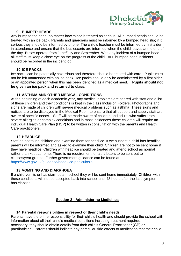

# **9. BUMPED HEADS**

Any bump to the head, no matter how minor is treated as serious. All bumped heads should be treated with an ice pack. Parents and guardians must be informed by a bumped head slip; if it serious they should be informed by phone. The child's teacher must be informed by first aider in attendance and ensure that the bus escorts are informed when the child leaves at the end of the day. Buses operate from June/July and September. With any incident of a bumped head all staff must keep a close eye on the progress of the child. ALL bumped head incidents should be recorded in the incident log.

### **10.ICE PACKS**

Ice packs can be potentially hazardous and therefore should be treated with care. Pupils must not be left unattended with an ice pack. Ice packs should only be administered by a first aider or an appointed person when this has been identified as a medical need. **Pupils should not be given an ice pack and returned to class.**

### **11.ASTHMA AND OTHER MEDICAL CONDITIONS**

At the beginning of each academic year, any medical problems are shared with staff and a list of these children and their conditions is kept in the class Inclusion Folders. Photographs and signs are made of children with severe medical problems such as asthma. These signs and notices are to be displayed in the Medical Room to ensure that all support and supply staff are aware of specific needs. Staff will be made aware of children and adults who suffer from severe allergies or complex conditions and in most incidences these children will require an individual Health Care Plan (HCP) to be written in consultation with the parents and Health Care practitioners.

### **12.HEADLICE**

Staff do not touch children and examine them for headlice. If we suspect a child has headlice parents will be informed and asked to examine their child. Children are not to be sent home if they have headlice. Children with headlice should be treated and attend school as normal rather than kept at home. There is no requirement for alert letters to be sent out to classes/year groups. Further government guidance can be found at: <https://www.gov.uk/guidance/head-lice-pediculosis>

#### **13.VOMITING AND DIARRHOEA**

If a child vomits or has diarrhoea in school they will be sent home immediately. Children with these conditions will not be accepted back into school until 48 hours after the last symptom has elapsed.

### **Section 2 - Administering Medicines**

### **14.Parental responsibilities in respect of their child's needs**

Parents have the prime responsibility for their child's health and should provide the school with information about all their child's medical conditions including treatment required. If necessary, they should obtain details from their child's General Practitioner (GP) or paediatrician. Parents should indicate any particular side effects to medication that their child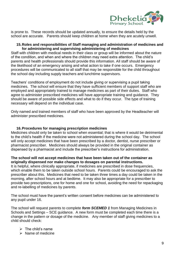

is prone to. These records should be updated annually, to ensure the details held by the school are accurate. Parents should keep children at home when they are acutely unwell.

#### **15.Roles and responsibilities of Staff managing and administration of medicines and for administering and supervising administering of medicines**

Staff with children with medical needs in their class or group will be informed about the nature of the condition, and when and where the children may need extra attention. The child's parents and health professionals should provide this information. All staff should be aware of the likelihood of an emergency arising and what action to take if one occurs. Emergency procedures will be communicated to all staff that may be responsible for the child throughout the school day including supply teachers and lunchtime supervisors.

Teachers' conditions of employment do not include giving or supervising a pupil taking medicines. The school will ensure that they have sufficient members of support staff who are employed and appropriately trained to manage medicines as part of their duties. Staff who agree to administer prescribed medicines will have appropriate training and guidance. They should be aware of possible side effects and what to do if they occur. The type of training necessary will depend on the individual case.

Only named and trained members of staff who have been approved by the Headteacher will administer prescribed medicines.

#### **16.Procedures for managing prescription medicines**

Medicines should only be taken to school when essential; that is where it would be detrimental to the child's health if the medicine were not administered during the school day. The school will only accept medicines that have been prescribed by a doctor, dentist, nurse prescriber or pharmacist prescriber. Medicines should always be provided in the original container as dispensed by a pharmacist and include the prescriber's instructions for administration.

#### **The school will not accept medicines that have been taken out of the container as originally dispensed nor make changes to dosages on parental instructions.**

It is helpful, where clinically appropriate, if medicines are prescribed in dose frequencies, which enable them to be taken outside school hours. Parents could be encouraged to ask the prescriber about this. Medicines that need to be taken three times a day could be taken in the morning, after school hours and at bedtime. It may also be appropriate for a prescriber to provide two prescriptions, one for home and one for school, avoiding the need for repackaging and re-labelling of medicines by parents.

The school must have the parent's written consent before medicines can be administered to any pupil under 16.

The school will request parents to complete *form SCEMED 1* from Managing Medicines in Schools and Settings – SCE guidance. A new form must be completed each time there is a change in the pattern or dosage of the medicine. Any member of staff giving medicines to a child should check:

- $\triangleright$  The child's name
- $\triangleright$  Name of medicine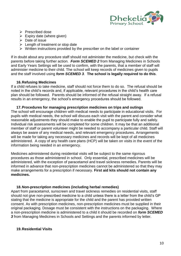

- $\triangleright$  Prescribed dose
- $\triangleright$  Expiry date (where given)
- $\triangleright$  Date of issue
- $\triangleright$  Length of treatment or stop date
- $\triangleright$  Written instructions provided by the prescriber on the label or container

If in doubt about any procedure staff should not administer the medicine, but check with the parents before taking further action. *Form SCEMED 2* from Managing Medicines in Schools and Early Years Settings will be used to confirm, with the parents, that a member of staff will administer medicine to their child. The school will keep records of medicines given to pupils and the staff involved using *form SCEMED 3*. **The school is legally required to do this**.

#### **16.Refusing Medicines**

If a child refuses to take medicine, staff should not force them to do so. The refusal should be noted in the child's records and, if applicable, relevant procedures in the child's health care plan should be followed. Parents should be informed of the refusal straight away. If a refusal results in an emergency, the school's emergency procedures should be followed.

#### **17.Procedures for managing prescription medicines on trips and outings**

The school will encourage children with medical needs to participate in educational visits. For pupils with medical needs, the school will discuss each visit with the parent and consider what reasonable adjustments they should make to enable the pupil to participate fully and safely. Individual risk assessments will be completed for some children. It may be that an additional member of staff or parent volunteer might be needed to accompany a particular child. Staff will always be aware of any medical needs, and relevant emergency procedures. Arrangements will be made for taking any necessary medicines and records will be kept of all medicines administered. A copy of any health care plans (HCP) will be taken on visits in the event of the information being needed in an emergency.

Medicines administered during residential visits will be subject to the same rigorous procedures as those administered in school. Only essential, prescribed medicines will be administered, with the exception of paracetamol and travel sickness remedies. Parents will be informed in advance that non-prescription medicines cannot be administered so that they may make arrangements for a prescription if necessary. **First aid kits should not contain any medicines.**

#### **18.Non-prescription medicines (including herbal remedies)**

Apart from paracetamol, sunscreen and travel sickness remedies on residential visits, staff should not give non-prescribed medicine to a child unless there is a letter from the child's GP stating that the medicine is appropriate for the child and the parent has provided written consent. As with prescription medicines, non-prescription medicines must be supplied in their original packaging. Dosage must be consistent with the instructions on the packaging. Where a non-prescription medicine is administered to a child it should be recorded on *form SCEMED*  **3** from Managing Medicines in Schools and Settings and the parents informed by letter.

#### **19.Residential Visits**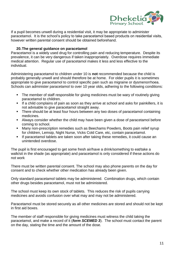

If a pupil becomes unwell during a residential visit, it may be appropriate to administer paracetamol. It is the school's policy to take paracetamol based products on residential visits, however written parental consent should be obtained beforehand.

### **20.The general guidance on paracetamol**

Paracetamol is a widely used drug for controlling pain and reducing temperature. Despite its prevalence, it can be very dangerous if taken inappropriately. Overdose requires immediate medical attention. Regular use of paracetamol makes it less and less effective to the individual.

Administering paracetamol to children under 10 is **not** recommended because the child is probably generally unwell and should therefore be at home. For older pupils it is sometimes appropriate to give paracetamol to control specific pain such as migraine or dysmenorrhoea. Schools can administer paracetamol to over 10 year olds, adhering to the following conditions:

- The member of staff responsible for giving medicines must be wary of routinely giving paracetamol to children.
- If a child complains of pain as soon as they arrive at school and asks for painkillers, it is not advisable to give paracetamol straight away.
- There should be at least four hours between any two doses of paracetamol containing medicines.
- Always consider whether the child may have been given a dose of paracetamol before coming to school.
- Many non-prescription remedies such as Beechams Powders, Boots pain relief syrup for children, Lemsip, Night Nurse, Vicks Cold Care, etc, contain paracetamol.
- **If paracetamol tablets are taken soon after taking these remedies, it could cause an** unintended overdose.

The pupil is first encouraged to get some fresh air/have a drink/something to eat/take a walk/sit in the shade (as appropriate) and paracetamol is only considered if these actions do not work

There must be written parental consent. The school may also phone parents on the day for consent and to check whether other medication has already been given.

Only standard paracetamol tablets may be administered. Combination drugs, which contain other drugs besides paracetamol, must not be administered.

The school must keep its own stock of tablets. This reduces the risk of pupils carrying medicines and avoids confusion over what may and may not be administered.

Paracetamol must be stored securely as all other medicines are stored and should not be kept in first aid boxes.

The member of staff responsible for giving medicines must witness the child taking the paracetamol, and make a record of it (*form SCEMED 3*). The school must contact the parent on the day, stating the time and the amount of the dose.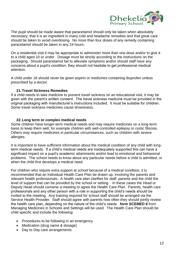

The pupil should be made aware that paracetamol should only be taken when absolutely necessary; that it is an ingredient in many cold and headache remedies and that great care should be taken to avoid overdosing. No more than four doses of any remedy containing paracetamol should be taken in any 24 hours.

On a residential visit it may be appropriate to administer more than one dose and/or to give it to a child aged 10 or under. Dosage must be strictly according to the instructions on the packaging. Should paracetamol fail to alleviate symptoms and/or should staff have any concerns about a pupil's condition, they should not hesitate to get professional medical attention.

A child under 16 should never be given aspirin or medicines containing ibuprofen unless prescribed by a doctor.

### **21.Travel Sickness Remedies**

If a child needs to take medicine to prevent travel sickness on an educational visit, it may be given with the parent's written consent. The travel sickness medicine must be provided in the original packaging with manufacturer's instructions included. It must be suitable for children. Some travel sickness medicines cause drowsiness.

### **22.Long term or complex medical needs**

Some children have longer-term medical needs and may require medicines on a long-term basis to keep them well, for example children with well-controlled epilepsy or cystic fibrosis. Others may require medicines in particular circumstances, such as children with severe allergies.

It is important to have sufficient information about the medical condition of any child with longterm medical needs. If a child's medical needs are inadequately supported this can have a significant impact on a pupil's academic attainments and/or lead to emotional and behavioral problems. The school needs to know about any particular needs before a child is admitted, or when the child first develops a medical need.

For children who require extra support at school because of a medical condition, it is recommended that an Individual Health Care Plan be drawn up, involving the parents and relevant health professionals. A health care plan clarifies for staff, parents and the child the level of support that can be provided by the school or setting. In these cases the Head or Deputy Head should convene a meeting to agree the Health Care Plan. Parents, health care professionals and any other person with a role in supporting the child's needs should be invited to the meeting. Any training required for school staff should be arranged via the Service Health Provider. Staff should agree with parents how often they should jointly review the health care plan, depending on the nature of the child's needs. *form SCEMED 6* from Managing Medicines in Schools and Settings will be used. The Health Care Plan should be child specific and include the following:

- Procedures to be following in an emergency
- Medication (drug name & dosage)
- Day to Day care arrangements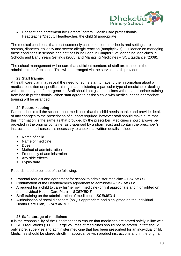

 Consent and agreement by: Parents/ carers, Health Care professionals, Headteacher/Deputy Headteacher, the child (if appropriate).

The medical conditions that most commonly cause concern in schools and settings are asthma, diabetes, epilepsy and severe allergic reaction (anaphylaxis). Guidance on managing these conditions in schools and settings is included in Chapter 5 of Managing Medicines in Schools and Early Years Settings (2005) and Managing Medicines – SCE guidance (2008).

The school management will ensure that sufficient numbers of staff are trained in the administration of epipens. This will be arranged via the service health provider.

### **23.Staff training**

A health care plan may reveal the need for some staff to have further information about a medical condition or specific training in administering a particular type of medicine or dealing with different type of emergencies. Staff should not give medicines without appropriate training from health professionals. When staff agree to assist a child with medical needs appropriate training will be arranged.

### **24.Record keeping**

Parents should tell the school about medicines that the child needs to take and provide details of any changes to the prescription of support required; however staff should make sure that this information is the same as that provided by the prescriber. Medicines should always be provided in the original container as dispensed by a pharmacist and contain the prescriber's instructions. In all cases it is necessary to check that written details include:

- Name of child
- Name of medicine
- **Dose**
- **Nethod of administration**
- **Figure 1** Frequency of administration
- **Any side effects**
- **Expiry date**

Records need to be kept of the following:

- Parental request and agreement for school to administer medicine *SCEMED 1*
- Confirmation of the Headteacher's agreement to administer *SCEMED 2*
- A request for a child to carry his/her own medicine (only if appropriate and highlighted on the Individual Health Care Plan) – *SCEMED 5*
- Staff training on the administration of medicines *SCEMED 4*
- Authorisation of rectal diazepam (only if appropriate and highlighted on the Individual Health Care Plan) - *SCEMED 7*

#### **25.Safe storage of medicines**

It is the responsibility of the Headteacher to ensure that medicines are stored safely in line with COSHH regulations (2002). Large volumes of medicines should not be stored. Staff should only store, supervise and administer medicine that has been prescribed for an individual child. Medicines should be stored strictly in accordance with product instructions and in the original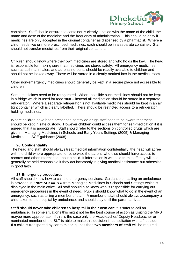

container. Staff should ensure the container is clearly labelled with the name of the child, the name and dose of the medicine and the frequency of administration. This should be easy if medicines are only accepted in the original container as dispensed by a pharmacist. Where a child needs two or more prescribed medicines, each should be in a separate container. Staff should not transfer medicines from their original containers.

Children should know where their own medicines are stored and who holds the key. The head is responsible for making sure that medicines are stored safely. All emergency medicines, such as asthma inhalers and adrenaline pens, should be readily available to children and should not be locked away. These will be stored in a clearly marked box in the medical room.

Other non-emergency medicines should generally be kept in a secure place not accessible to children.

Some medicines need to be refrigerated. Where possible such medicines should not be kept in a fridge which is used for food stuff – instead all medication should be stored in a separate refrigerator. Where a separate refrigerator is not available medicines should be kept in an air tight container which is clearly labelled. There should be restricted access to a refrigerator holding medicines.

Where children have been prescribed controlled drugs staff need to be aware that these should be kept in safe custody. However children could access them for self-medication if it is agreed that it is appropriate. Staff should refer to the sections on controlled drugs which are given in Managing Medicines in Schools and Early Years Settings (2005) & Managing Medicines – SCE guidance (2008).

#### **26.Confidentiality**

The head and staff should always treat medical information confidentially, the head will agree with the child where appropriate, or otherwise the parent, who else should have access to records and other information about a child. If information is withheld from staff they will not generally be held responsible if they act incorrectly in giving medical assistance but otherwise in good faith.

#### **27.Emergency procedures**

All staff should know how to call the emergency services. Guidance on calling an ambulance is provided in *Form SCEMED 8* from Managing Medicines in Schools and Settings which is displayed in the main office. All staff should also know who is responsible for carrying out emergency procedures in the event of need. Pupils should know what to do in the event of an emergency, such as telling a member of staff. A member of staff should always accompany a child taken to the hospital by ambulance, and should stay until the parent arrives.

**Staff should never take children to hospital in their own car**: it is safer to call an ambulance. In some situations this might not be the best course of action as visiting the MRS maybe more appropriate. If this is the case only the Headteacher/ Deputy Headteacher or nominated member of the SLT is able to make this decision in consultation with a first aider. If a child is transported by car to minor injuries then **two members of staff** will be required.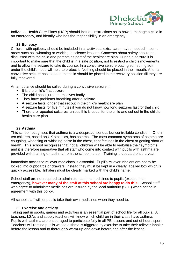

Individual Health Care Plans (HCP) should include instructions as to how to manage a child in an emergency, and identify who has the responsibility in an emergency.

### **28.Epilepsy**

Children with epilepsy should be included in all activities, extra care maybe needed in some areas such as swimming or working in science lessons. Concerns about safety should be discussed with the child and parents as part of the healthcare plan. During a seizure it is important to make sure that the child is in a safe position, not to restrict a child's movements and to allow the seizure to take its course. In a convulsive seizure putting something soft under the child's head will help to protect it. Nothing should be placed in their mouth. After a convulsive seizure has stopped the child should be placed in the recovery position till they are fully recovered.

An ambulance should be called during a convulsive seizure if:

- It is the child's first seizure
- The child has injured themselves badly
- **They have problems breathing after a seizure**
- A seizure lasts longer that set out in the child's healthcare plan
- A seizure lasts for five minutes if you do not know how long seizures last for that child
- There are repeated seizures, unless this is usual for the child and set out in the child's health care plan

#### **29.Asthma**

This school recognises that asthma is a widespread, serious but controllable condition. One in ten children, based on UK statistics, has asthma. The most common symptoms of asthma are coughing, wheezing or whistling noise in the chest, tight feelings in the chest or getting short of breath. This school recognises that not all children will be able to verbalise their symptoms and it is therefore imperative that all staff who come into contact with pupils with asthma are provided with training on asthma from the school nurse. Training is updated once a year.

Immediate access to reliever medicines is essential. Pupil's reliever inhalers are not to be locked into cupboards or drawers; instead they must be kept in a clearly labelled box which is quickly accessible. Inhalers must be clearly marked with the child's name.

School staff are not required to administer asthma medicines to pupils (except in an emergency), **however many of the staff at this school are happy to do this.** School staff who agree to administer medicines are insured by the local authority (SCE) when acting in agreement with this policy.

All school staff will let pupils take their own medicines when they need to.

#### **30.Exercise and activity**

Taking part in sports, games and activities is an essential part of school life for all pupils. All teachers, LSAs and supply teachers will know which children in their class have asthma. Pupils with asthma are encouraged to participate fully in all PE lessons and out of hours sport. Teachers will remind pupils whose asthma is triggered by exercise to take their reliever inhaler before the lesson and to thoroughly warm-up and down before and after the lesson.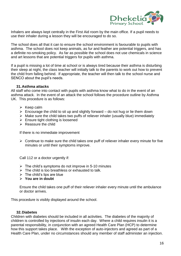

Inhalers are always kept centrally in the First Aid room by the main office. If a pupil needs to use their inhaler during a lesson they will be encouraged to do so.

The school does all that it can to ensure the school environment is favourable to pupils with asthma. The school does not keep animals, as fur and feather are potential triggers, and has a definite no-smoking policy. As far as possible the school does not use chemicals in science and art lessons that are potential triggers for pupils with asthma.

If a pupil is missing a lot of time at school or is always tired because their asthma is disturbing their sleep at night, the class teacher will initially talk to the parents to work out how to prevent the child from falling behind. If appropriate, the teacher will then talk to the school nurse and SENCO about the pupil's needs.

#### **31.Asthma attacks**

All staff who come into contact with pupils with asthma know what to do in the event of an asthma attack. In the event of an attack the school follows the procedure outline by Asthma UK. This procedure is as follows:

- $\triangleright$  Keep calm
- $\triangleright$  Encourage the child to sit up and slightly forward do not hug or lie them down
- $\triangleright$  Make sure the child takes two puffs of reliever inhaler (usually blue) immediately
- $\triangleright$  Ensure tight clothing is loosened
- $\triangleright$  Reassure the child

If there is no immediate improvement

 $\triangleright$  Continue to make sure the child takes one puff of reliever inhaler every minute for five minutes or until their symptoms improve.

Call 112 or a doctor urgently if:

- $\triangleright$  The child's symptoms do not improve in 5-10 minutes
- $\triangleright$  The child is too breathless or exhausted to talk.
- $\triangleright$  The child's lips are blue
- **You are in doubt**

Ensure the child takes one puff of their reliever inhaler every minute until the ambulance or doctor arrives.

This procedure is visibly displayed around the school.

#### **32.Diabetes**

Children with diabetes should be included in all activities. The diabetes of the majority of children is controlled by injections of insulin each day. Where a child requires insulin it is a parental responsibility, in conjunction with an agreed Health Care Plan (HCP) to determine how this support takes place. With the exception of auto-injectors and agreed as part of a Health Care Plan, under no circumstances should any member of staff administer an injection.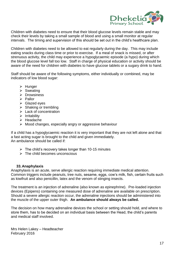

Children with diabetes need to ensure that their blood glucose levels remain stable and may check their levels by taking a small sample of blood and using a small monitor at regular intervals. The timing and supervision of this should be set out in the child's healthcare plan.

Children with diabetes need to be allowed to eat regularly during the day. This may include eating snacks during class time or prior to exercise. If a meal of snack is missed, or after strenuous activity, the child may experience a hypoglycaemic episode (a hypo) during which the blood glucose level fall too low. Staff in charge of physical education or activity should be aware of the need for children with diabetes to have glucose tablets or a sugary drink to hand.

Staff should be aware of the following symptoms, either individually or combined, may be indicators of low blood sugar:

- $\triangleright$  Hunger
- $\triangleright$  Sweating
- $\triangleright$  Drowsiness
- $\triangleright$  Pallor
- $\triangleright$  Glazed eves
- $\triangleright$  Shaking or trembling
- $\triangleright$  Lack of concentration
- $\triangleright$  Irritability
- $\triangleright$  Headache
- $\triangleright$  Mood changes, especially angry or aggressive behaviour

If a child has a hypoglycaemic reaction it is very important that they are not left alone and that a fast acting sugar is brought to the child and given immediately. An ambulance should be called if:

- $\triangleright$  The child's recovery takes longer than 10-15 minutes
- $\triangleright$  The child becomes unconscious

#### **33.Anaphylaxis**

Anaphylaxis is an acute, serve allergic reaction requiring immediate medical attention. Common triggers include peanuts, tree nuts, sesame, eggs, cow's milk, fish, certain fruits such as kiwifruit and also penicillin, latex and the venom of stinging insects.

The treatment is an injection of adrenaline (also known as epinephrine). Pre-loaded injection devices (Epipens) containing one measured dose of adrenaline are available on prescription. Should a severe allergic reaction occur, the adrenaline injections should be administered into the muscle of the upper outer thigh. **An ambulance should always be called.** 

The decision on how many adrenaline devices the school or setting should hold, and where to store them, has to be decided on an individual basis between the Head, the child's parents and medical staff involved.

Mrs Helen Lakey – Headteacher February 2016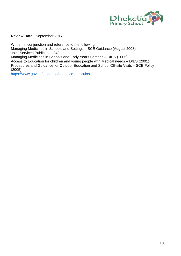

**Review Date:** September 2017

Written in conjunction and reference to the following: Managing Medicines in Schools and Settings – SCE Guidance (August 2008) Joint Services Publication 342 Managing Medicines in Schools and Early Years Settings – DfES (2005) Access to Education for children and young people with Medical needs – DfES (2001) Procedures and Guidance for Outdoor Education and School Off-site Visits – SCE Policy (2005)

<https://www.gov.uk/guidance/head-lice-pediculosis>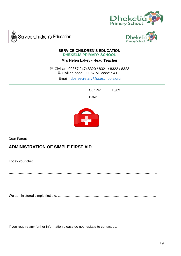





#### **SERVICE CHILDREN'S EDUCATION DHEKELIA PRIMARY SCHOOL**

**Mrs Helen Lakey - Head Teacher**

 Civilian: 00357 24748320 / 8321 / 8322 / 8323 Civilian code: 00357 Mil code: 94120

Email: [dps.secretary@sceschools.org](mailto:dps.secretary@sceschools.org)

 Our Ref: 16/09

 Date: Website: www.dhekelia.scene



Dear Parent

# **ADMINISTRATION OF SIMPLE FIRST AID**

| If you require any further information please do not hesitate to contact us. |
|------------------------------------------------------------------------------|